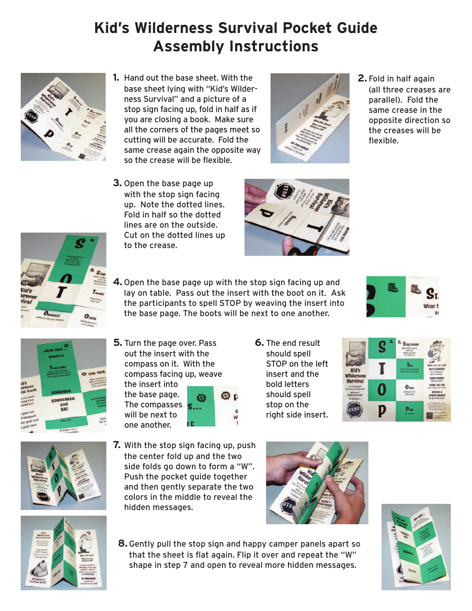#### **Kid's Wilderness Survival Pocket Guide Assembly Instructions**



**1.** Hand out the base sheet. With the base sheet lying with "Kid's Wilderness Survival" and a picture of a stop sign facing up, fold in half as if you are closing a book. Make sure all the corners of the pages meet so cutting will be accurate. Fold the same crease again the opposite way so the crease will be flexible.

**3.** Open the base page up with the stop sign facing up. Note the dotted lines. Fold in half so the dotted lines are on the outside. Cut on the dotted lines up

to the crease.



**2.** Fold in half again (all three creases are parallel). Fold the same crease in the opposite direction so the creases will be flexible.





**4.** Open the base page up with the stop sign facing up and lay on table. Pass out the insert with the boot on it. Ask the participants to spell STOP by weaving the insert into the base page. The boots will be next to one another.







**5.** Turn the page over. Pass out the insert with the compass on it. With the compass facing up, weave the insert into

the base page. The compasses will be next to one another.

the center fold up and the two

Push the pocket guide together and then gently separate the two colors in the middle to reveal the

hidden messages.

- 
- **6.** The end result should spell STOP on the left insert and the bold letters should spell stop on the right side insert.







**8.**Gently pull the stop sign and happy camper panels apart so that the sheet is flat again. Flip it over and repeat the "W" shape in step 7 and open to reveal more hidden messages.

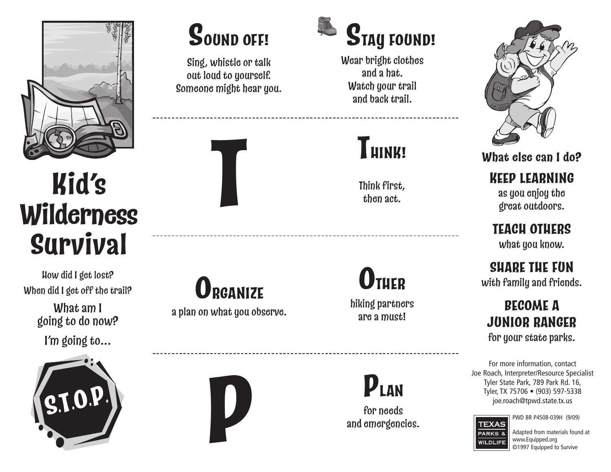

# **K i d 's Wilderness S u r v i v a l**

How did I get lost? When did I get off the trail?

> What am I going to do now? I'm going to...





Sing, whistle or talk out loud to yourself. Someone might hear you.



 $O$ **RGANIZE** a plan on what you observe.



Wear bright clothes a n d a h a t . Watch your trail and back trail.



T h i n k f i r s t , then act.

O **THER** hiking partners are a must!



 $P$  **LAN** 

for needs and emergencies.



**W h a t e l s e c a n I d o ?**

#### **KEEP LEARNING**

as you enjoy the great outdoors.

**T E A C H O T H E R S** what you know.

SHARE THE FUN with family and friends.

**B E C O M E A J U N I O R R A N G E R** for your state parks.

For more information, contact Joe Roach, Interpreter/Resource Specialist Tyler State Park, 789 Park Rd. 16, Tyler, TX 75706 • (903) 597-5338 joe.roach@tpwd.state.tx.us



Adapted from materials found at www.Equipped.org ©1997 Equipped to Survive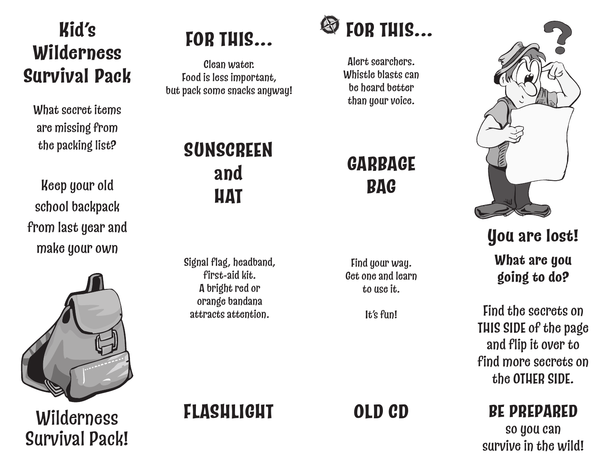#### **K i d 's Wilderness S u r v i v a l P a c k**

What secret items are missing from the packing list?

Keep your old school backpack from last year and make your own



Wilderness Survival Pack!

## **FOR THIS...**

Clean water. Food is less important, but pack some snacks anyway!

**S U N S C R E E N**

**a n d**

**H A T**

**FOR THIS...** 

Alert searchers. Whistle blasts can be heard better than your voice.

#### **G A R B A G E B A G**

Signal flag, headband, first-aid kit. A bright red or orange bandana attracts attention.

**F L A S H L I G H T**

Find your way. Get one and learn to use it.

I t 's fu n !

**O L D C D**



**Y o u a r e l o s t ! W h a t a r e y o u g o i n g t o d o ?**

Find the secrets on THIS SIDE of the page and flip it over to find more secrets on the OTHER SIDE.

#### **B E P R E P A R E D**

so you can survive in the wild!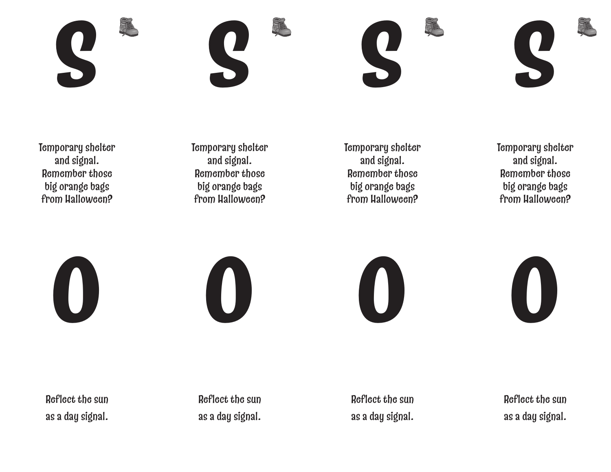**S**







Temporary shelter and signal. Remember those big orange bags from Halloween?

Temporary shelter and signal. Remember those big orange bags from Halloween?

Temporary shelter and signal. Remember those big orange bags from Halloween?

Temporary shelter and signal. Remember those big orange bags from Halloween?









Reflect the sun as a day signal. Reflect the sun as a day signal. Reflect the sun as a day signal. Reflect the sun as a day signal.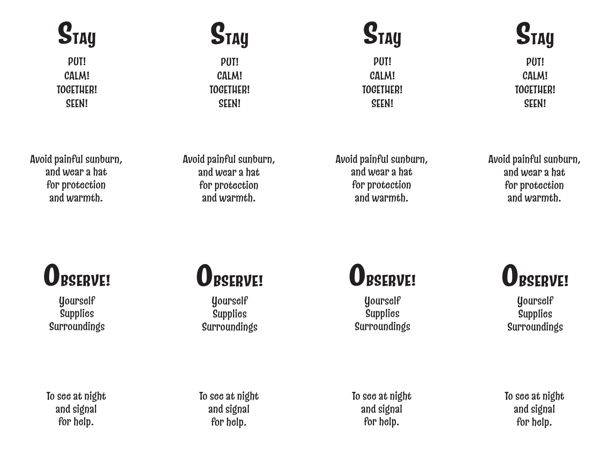# **STAY**

PUT! CALM! TOGETHER! SEEN!

**STAY**

PUT! CALM! TOGETHER! SEEN!

## **STAY**

PUT! CALM! TOGETHER! SEEN!

**STAY** PUT! CALM! TOGETHER!

SEEN!

Avoid painful sunburn, and wear a hat for protection and warmth.

Avoid painful sunburn, and wear a hat for protection and warmth.

Avoid painful sunburn, and wear a hat for protection and warmth.

Avoid painful sunburn, and wear a hat for protection and warmth.

# **O**BSERVE!

**Yourself Supplies** Surroundings

## O**BSERVE!**

**Yourself Supplies Surroundings** 

## **O**BSERVE!

**Yourself Supplies** Surroundings **O**BSERVE!

**Yourself Supplies Surroundings** 

To see at night and signal for help.

To see at night and signal for help.

To see at night and signal for help.

To see at night and signal for help.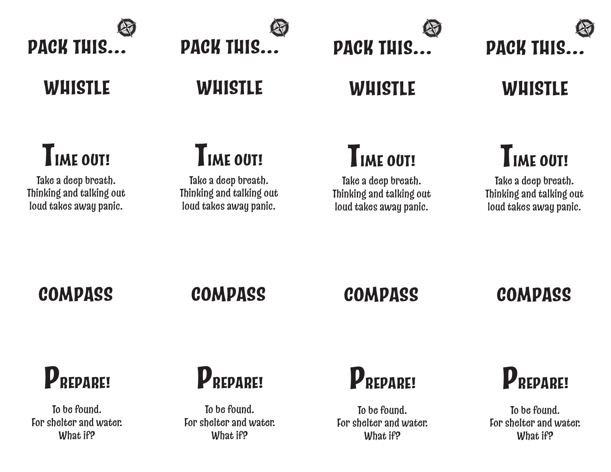



**PACK THIS...**

**WHISTLE**

**PACK THIS...**

**WHISTLE**

### **WHISTLE**

## **TIME OUT!**

Take a deep breath. Thinking and talking out loud takes away panic.



**WHISTLE**

Take a deep breath. Thinking and talking out loud takes away panic.

### **TIME OUT!**

Take a deep breath. Thinking and talking out loud takes away panic.

## **TIME OUT!**

Take a deep breath. Thinking and talking out loud takes away panic.

**COMPASS**

**COMPASS**

**COMPASS**

**COMPASS**

# **PREPARE!**

To be found. For shelter and water. What if?

## **PREPARE!**

To be found. For shelter and water. What if?

**PREPARE!**

To be found. For shelter and water. What if?

**PREPARE!**

To be found. For shelter and water. What if?